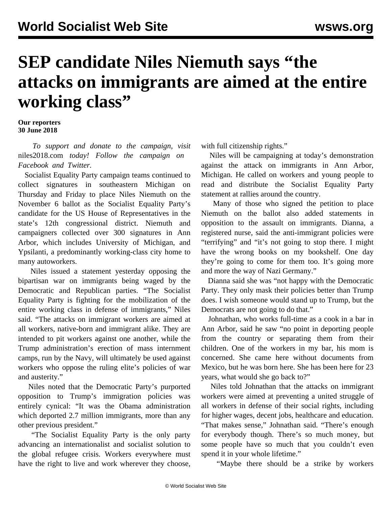## **SEP candidate Niles Niemuth says "the attacks on immigrants are aimed at the entire working class"**

## **Our reporters 30 June 2018**

 *To support and donate to the campaign, visit* [niles2018.com](http://www.niles2018.com/) *today! Follow the campaign on [Facebook](https://www.facebook.com/NilesNiemuthSEP/) and [Twitter](https://twitter.com/niles_niemuth).*

 Socialist Equality Party campaign teams continued to collect signatures in southeastern Michigan on Thursday and Friday to place Niles Niemuth on the November 6 ballot as the Socialist Equality Party's candidate for the US House of Representatives in the state's 12th congressional district. Niemuth and campaigners collected over 300 signatures in Ann Arbor, which includes University of Michigan, and Ypsilanti, a predominantly working-class city home to many autoworkers.

 Niles issued a statement yesterday opposing the bipartisan war on immigrants being waged by the Democratic and Republican parties. "The Socialist Equality Party is fighting for the mobilization of the entire working class in defense of immigrants," Niles said. "The attacks on immigrant workers are aimed at all workers, native-born and immigrant alike. They are intended to pit workers against one another, while the Trump administration's erection of mass internment camps, run by the Navy, will ultimately be used against workers who oppose the ruling elite's policies of war and austerity."

 Niles noted that the Democratic Party's purported opposition to Trump's immigration policies was entirely cynical: "It was the Obama administration which deported 2.7 million immigrants, more than any other previous president."

 "The Socialist Equality Party is the only party advancing an internationalist and socialist solution to the global refugee crisis. Workers everywhere must have the right to live and work wherever they choose, with full citizenship rights."

 Niles will be campaigning at today's demonstration against the attack on immigrants in Ann Arbor, Michigan. He called on workers and young people to read and distribute the Socialist Equality Party statement at rallies around the country.

 Many of those who signed the petition to place Niemuth on the ballot also added statements in opposition to the assault on immigrants. Dianna, a registered nurse, said the anti-immigrant policies were "terrifying" and "it's not going to stop there. I might have the wrong books on my bookshelf. One day they're going to come for them too. It's going more and more the way of Nazi Germany."

 Dianna said she was "not happy with the Democratic Party. They only mask their policies better than Trump does. I wish someone would stand up to Trump, but the Democrats are not going to do that."

 Johnathan, who works full-time as a cook in a bar in Ann Arbor, said he saw "no point in deporting people from the country or separating them from their children. One of the workers in my bar, his mom is concerned. She came here without documents from Mexico, but he was born here. She has been here for 23 years, what would she go back to?"

 Niles told Johnathan that the attacks on immigrant workers were aimed at preventing a united struggle of all workers in defense of their social rights, including for higher wages, decent jobs, healthcare and education. "That makes sense," Johnathan said. "There's enough for everybody though. There's so much money, but some people have so much that you couldn't even spend it in your whole lifetime."

"Maybe there should be a strike by workers